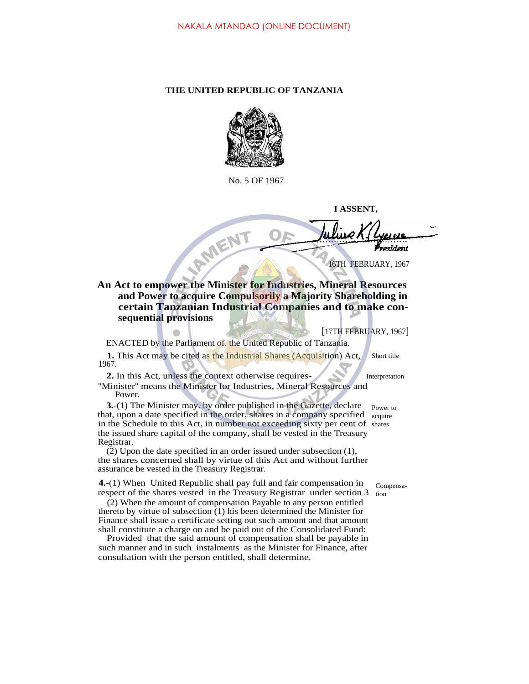## **THE UNITED REPUBLIC OF TANZANIA**



No. 5 OF 1967

**I ASSENT,**

sident

16TH FEBRUARY, 1967

## **An Act to empower the Minister for Industries, Mineral Resources and Power to acquire Compulsorily a Majority Shareholding in certain Tanzanian Industrial Companies and to make consequential provisions**

[17TH FEBRUARY, 1967]

ENACTED by the Parliament of. the United Republic of Tanzania.

**1.** This Act may be cited as the Industrial Shares (Acquisition) Act, 1967. Short title

**2.** In this Act, unless the context otherwise requires-

RMENT

''Minister'' means the Minister for Industries, Mineral Resources and Power.

**3.**-(1) The Minister may. by order published in the Gazette, declare that, upon a date specified in the order, shares in a company specified acquire in the Schedule to this Act, in number not exceeding sixty per cent of shares the issued share capital of the company, shall be vested in the Treasury Registrar.

(2) Upon the date specified in an order issued under subsection (1), the shares concerned shall by virtue of this Act and without further assurance be vested in the Treasury Registrar.

**4.**-(1) When United Republic shall pay full and fair compensation in respect of the shares vested in the Treasury Registrar under section  $3_{\text{tion}}$ 

(2) When the amount of compensation Payable to any person entitled thereto by virtue of subsection (1) his been determined the Minister for Finance shall issue a certificate setting out such amount and that amount shall constitute a charge on and be paid out of the Consolidated Fund:

Provided that the said amount of compensation shall be payable in such manner and in such instalments as the Minister for Finance, after consultation with the person entitled, shall determine.

Interpretation

Power to

Compensa-